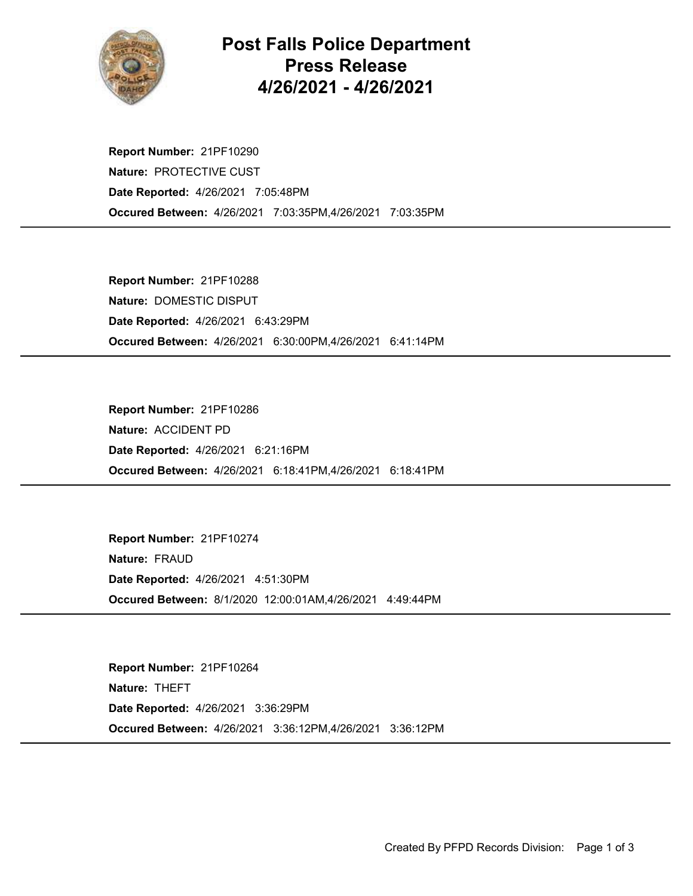

## Post Falls Police Department Press Release 4/26/2021 - 4/26/2021

Occured Between: 4/26/2021 7:03:35PM,4/26/2021 7:03:35PM Report Number: 21PF10290 Nature: PROTECTIVE CUST Date Reported: 4/26/2021 7:05:48PM

Occured Between: 4/26/2021 6:30:00PM,4/26/2021 6:41:14PM Report Number: 21PF10288 Nature: DOMESTIC DISPUT Date Reported: 4/26/2021 6:43:29PM

Occured Between: 4/26/2021 6:18:41PM,4/26/2021 6:18:41PM Report Number: 21PF10286 Nature: ACCIDENT PD Date Reported: 4/26/2021 6:21:16PM

Occured Between: 8/1/2020 12:00:01AM,4/26/2021 4:49:44PM Report Number: 21PF10274 Nature: FRAUD Date Reported: 4/26/2021 4:51:30PM

Occured Between: 4/26/2021 3:36:12PM,4/26/2021 3:36:12PM Report Number: 21PF10264 Nature: THEFT Date Reported: 4/26/2021 3:36:29PM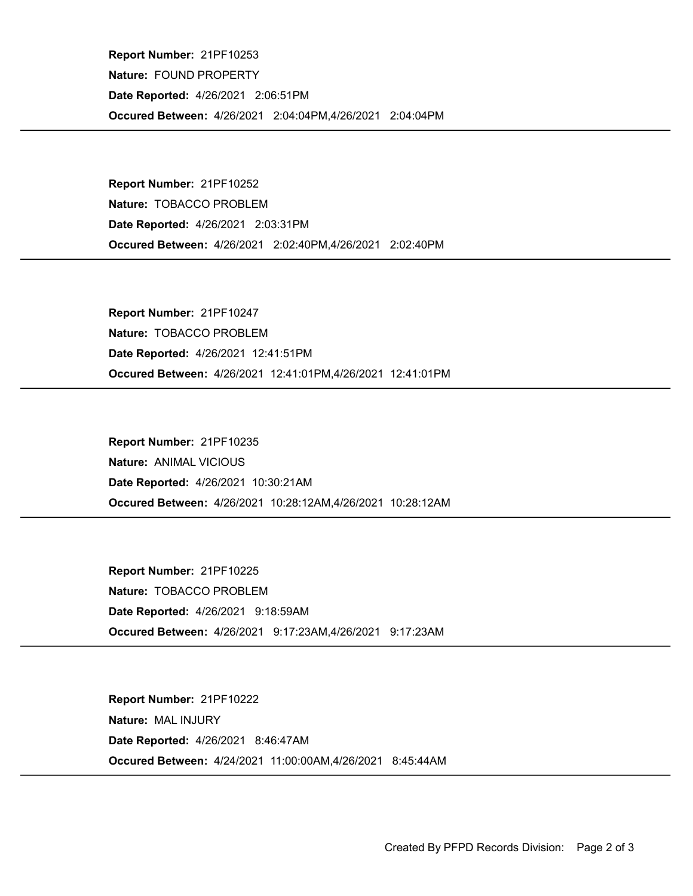Occured Between: 4/26/2021 2:04:04PM,4/26/2021 2:04:04PM Report Number: 21PF10253 Nature: FOUND PROPERTY Date Reported: 4/26/2021 2:06:51PM

Occured Between: 4/26/2021 2:02:40PM,4/26/2021 2:02:40PM Report Number: 21PF10252 Nature: TOBACCO PROBLEM Date Reported: 4/26/2021 2:03:31PM

Occured Between: 4/26/2021 12:41:01PM,4/26/2021 12:41:01PM Report Number: 21PF10247 Nature: TOBACCO PROBLEM Date Reported: 4/26/2021 12:41:51PM

Occured Between: 4/26/2021 10:28:12AM,4/26/2021 10:28:12AM Report Number: 21PF10235 Nature: ANIMAL VICIOUS Date Reported: 4/26/2021 10:30:21AM

Occured Between: 4/26/2021 9:17:23AM,4/26/2021 9:17:23AM Report Number: 21PF10225 Nature: TOBACCO PROBLEM Date Reported: 4/26/2021 9:18:59AM

Occured Between: 4/24/2021 11:00:00AM,4/26/2021 8:45:44AM Report Number: 21PF10222 Nature: MAL INJURY Date Reported: 4/26/2021 8:46:47AM